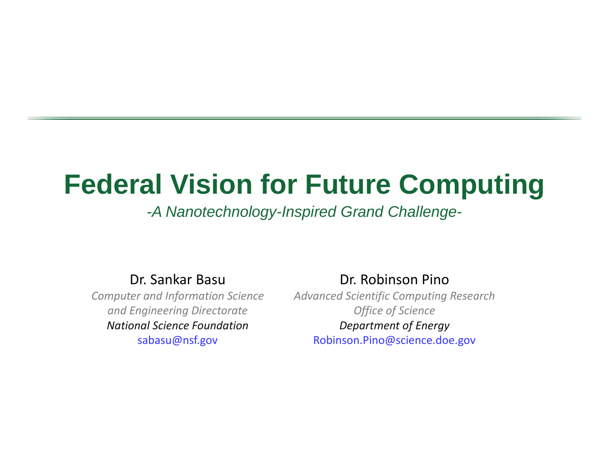# **Federal Vision for Future Computing**

### *-A Nanotechnology-Inspired Grand Challenge-*

Dr. Sankar Basu

*Computer and Information Science and Engineering Directorate National Science Foundation*sabasu@nsf.gov

Dr. Robinson Pino

*Advanced Scientific Computing Research Office of Science Department of Energy* Robinson.Pino@science.doe.gov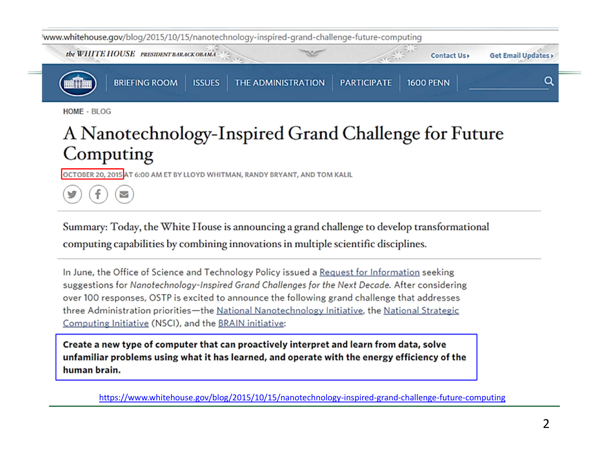

HOME · BLOG

f

 $\triangledown$ 

## A Nanotechnology-Inspired Grand Challenge for Future Computing

OCTOBER 20, 2015 AT 6:00 AM ET BY LLOYD WHITMAN, RANDY BRYANT, AND TOM KALIL

Summary: Today, the White House is announcing a grand challenge to develop transformational computing capabilities by combining innovations in multiple scientific disciplines.

In June, the Office of Science and Technology Policy issued a Request for Information seeking suggestions for Nanotechnology-Inspired Grand Challenges for the Next Decade. After considering over 100 responses, OSTP is excited to announce the following grand challenge that addresses three Administration priorities-the National Nanotechnology Initiative, the National Strategic Computing Initiative (NSCI), and the BRAIN initiative:

Create a new type of computer that can proactively interpret and learn from data, solve unfamiliar problems using what it has learned, and operate with the energy efficiency of the human brain.

https://www.whitehouse.gov/blog/2015/10/15/nanotechnology‐inspired‐grand‐challenge‐future‐computing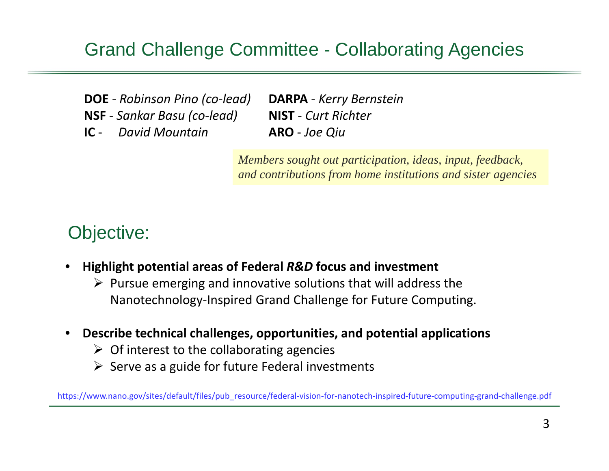### Grand Challenge Committee - Collaborating Agencies

**DOE** *‐ Robinson Pino (co‐lead)* **NSF** ‐ *Sankar Basu (co‐lead)*

**IC** ‐ *David Mountain*

**DARPA** ‐ *Kerry Bernstein* **NIST** ‐ *Curt Richter* **ARO** ‐ *Joe Qiu*

*Members sought out participation, ideas, input, feedback, and contributions from home institutions and sister agencies*

### Objective:

- • **Highlight potential areas of Federal** *R&D* **focus and investment**
	- $\triangleright$  Pursue emerging and innovative solutions that will address the Nanotechnology‐Inspired Grand Challenge for Future Computing.
- • **Describe technical challenges, opportunities, and potential applications**
	- $\triangleright$  Of interest to the collaborating agencies
	- $\triangleright$  Serve as a guide for future Federal investments

https://www.nano.gov/sites/default/files/pub\_resource/federal-vision-for-nanotech-inspired-future-computing-grand-challenge.pdf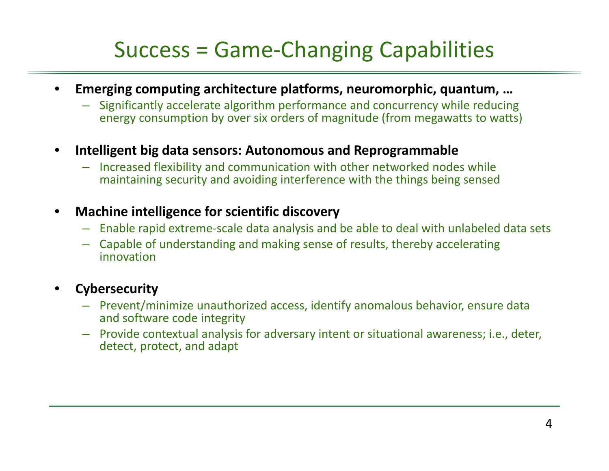# Success <sup>=</sup> Game‐Changing Capabilities

- • **Emerging computing architecture platforms, neuromorphic, quantum, …**
	- Significantly accelerate algorithm performance and concurrency while reducing energy consumption by over six orders of magnitude (from megawatts to watts)
- • **Intelligent big data sensors: Autonomous and Reprogrammable**
	- Increased flexibility and communication with other networked nodes while maintaining security and avoiding interference with the things being sensed

#### •**Machine intelligence for scientific discovery**

- Enable rapid extreme‐scale data analysis and be able to deal with unlabeled data sets
- Capable of understanding and making sense of results, thereby accelerating innovation

#### •**Cybersecurity**

- Prevent/minimize unauthorized access, identify anomalous behavior, ensure data and software code integrity
- Provide contextual analysis for adversary intent or situational awareness; i.e., deter, detect, protect, and adapt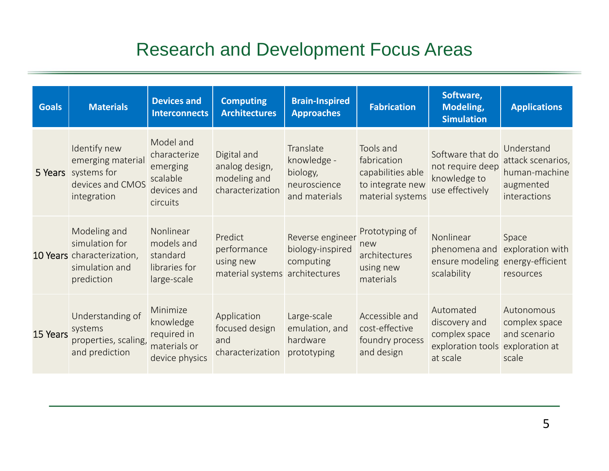## Research and Development Focus Areas

| <b>Goals</b> | <b>Materials</b>                                                                             | <b>Devices and</b><br><b>Interconnects</b>                                   | <b>Computing</b><br><b>Architectures</b>                              | <b>Brain-Inspired</b><br><b>Approaches</b>                            | <b>Fabrication</b>                                                                    | Software,<br>Modeling,<br><b>Simulation</b>                                                 | <b>Applications</b>                                                           |
|--------------|----------------------------------------------------------------------------------------------|------------------------------------------------------------------------------|-----------------------------------------------------------------------|-----------------------------------------------------------------------|---------------------------------------------------------------------------------------|---------------------------------------------------------------------------------------------|-------------------------------------------------------------------------------|
|              | Identify new<br>emerging material<br>5 Years systems for<br>devices and CMOS<br>integration  | Model and<br>characterize<br>emerging<br>scalable<br>devices and<br>circuits | Digital and<br>analog design,<br>modeling and<br>characterization     | Translate<br>knowledge -<br>biology,<br>neuroscience<br>and materials | Tools and<br>fabrication<br>capabilities able<br>to integrate new<br>material systems | Software that do<br>not require deep<br>knowledge to<br>use effectively                     | Understand<br>attack scenarios,<br>human-machine<br>augmented<br>interactions |
|              | Modeling and<br>simulation for<br>10 Years characterization,<br>simulation and<br>prediction | Nonlinear<br>models and<br>standard<br>libraries for<br>large-scale          | Predict<br>performance<br>using new<br>material systems architectures | Reverse engineer<br>biology-inspired<br>computing                     | Prototyping of<br>new<br>architectures<br>using new<br>materials                      | Nonlinear<br>phenomena and<br>ensure modeling energy-efficient<br>scalability               | Space<br>exploration with<br>resources                                        |
| 15 Years     | Understanding of<br>systems<br>properties, scaling,<br>and prediction                        | Minimize<br>knowledge<br>required in<br>materials or<br>device physics       | Application<br>focused design<br>and<br>characterization              | Large-scale<br>emulation, and<br>hardware<br>prototyping              | Accessible and<br>cost-effective<br>foundry process<br>and design                     | Automated<br>discovery and<br>complex space<br>exploration tools exploration at<br>at scale | Autonomous<br>complex space<br>and scenario<br>scale                          |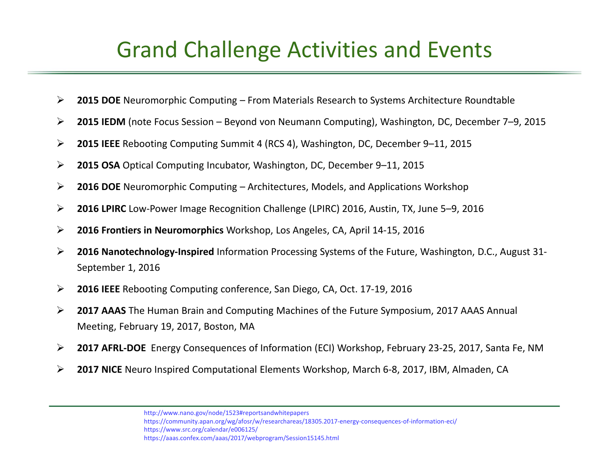## Grand Challenge Activities and Events

- $\blacktriangleright$ **2015 DOE** Neuromorphic Computing – From Materials Research to Systems Architecture Roundtable
- ➤ **2015 IEDM** (note Focus Session – Beyond von Neumann Computing), Washington, DC, December 7–9, 2015
- $\blacktriangleright$ **2015 IEEE** Rebooting Computing Summit 4 (RCS 4), Washington, DC, December 9–11, 2015
- ➤ **2015 OSA** Optical Computing Incubator, Washington, DC, December 9–11, 2015
- $\blacktriangleright$ **2016 DOE** Neuromorphic Computing – Architectures, Models, and Applications Workshop
- ➤ **2016 LPIRC** Low‐Power Image Recognition Challenge (LPIRC) 2016, Austin, TX, June 5–9, 2016
- $\blacktriangleright$ **2016 Frontiers in Neuromorphics** Workshop, Los Angeles, CA, April 14‐15, 2016
- ➤ **2016 Nanotechnology‐Inspired** Information Processing Systems of the Future, Washington, D.C., August 31‐ September 1, 2016
- $\blacktriangleright$ **2016 IEEE** Rebooting Computing conference, San Diego, CA, Oct. 17‐19, 2016
- ➤ **2017 AAAS** The Human Brain and Computing Machines of the Future Symposium, 2017 AAAS Annual Meeting, February 19, 2017, Boston, MA
- ➤ **2017 AFRL‐DOE** Energy Consequences of Information (ECI) Workshop, February 23‐25, 2017, Santa Fe, NM
- ➤ **2017 NICE** Neuro Inspired Computational Elements Workshop, March 6‐8, 2017, IBM, Almaden, CA

http://www.nano.gov/node/1523#reportsandwhitepapers https://community.apan.org/wg/afosr/w/researchareas/18305.2017‐energy‐consequences‐of‐information‐eci/ https://www.src.org/calendar/e006125/ https://aaas.confex.com/aaas/2017/webprogram/Session15145.html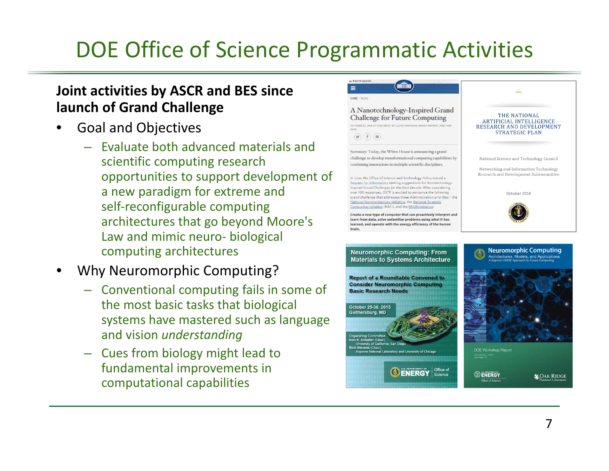# DOE Office of Science Programmatic Activities

### **Joint activities by ASCR and BES since launch of Grand Challenge**

- •**•** Goal and Objectives
	- Evaluate both advanced materials and scientific computing research opportunities to support development of a new paradigm for extreme and self‐reconfigurable computing architectures that go beyond Moore's Law and mimic neuro‐ biological computing architectures
- • Why Neuromorphic Computing?
	- Conventional computing fails in some of the most basic tasks that biological systems have mastered such as language and vision *understanding*
	- Cues from biology might lead to fundamental improvements in computational capabilities

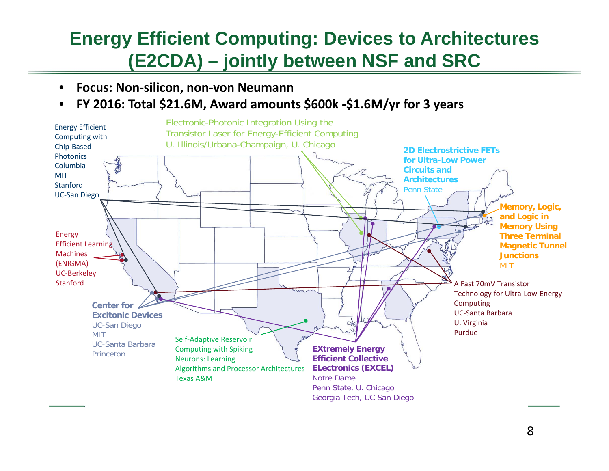## **Energy Efficient Computing: Devices to Architectures (E2CDA) – jointly between NSF and SRC**

- $\bullet$ **Focus: Non‐silicon, non‐von Neumann**
- •**FY 2016: Total \$21.6M, Award amounts \$600k ‐\$1.6M/yr for 3 years**